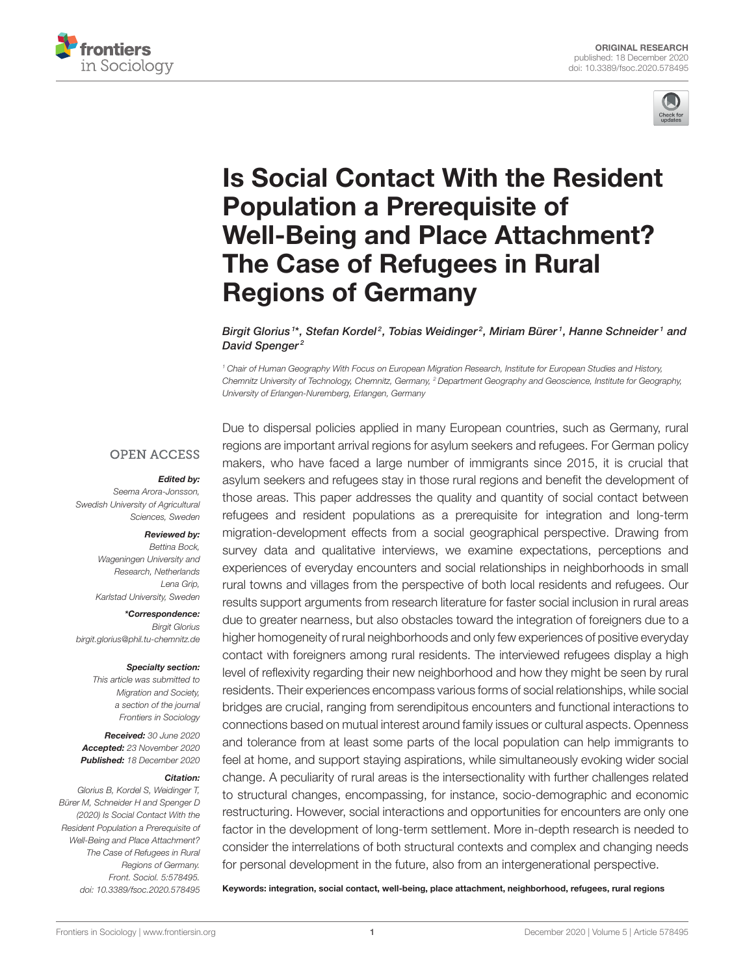



# Is Social Contact With the Resident Population a Prerequisite of [Well-Being and Place Attachment?](https://www.frontiersin.org/articles/10.3389/fsoc.2020.578495/full) The Case of Refugees in Rural Regions of Germany

Birgit Glorius<sup>1\*</sup>, Stefan Kordel<sup>2</sup>, Tobias Weidinger<sup>2</sup>, Miriam Bürer<sup>1</sup>, Hanne Schneider<sup>1</sup> and David Spenger<sup>2</sup>

<sup>1</sup> Chair of Human Geography With Focus on European Migration Research, Institute for European Studies and History, Chemnitz University of Technology, Chemnitz, Germany, <sup>2</sup> Department Geography and Geoscience, Institute for Geography, University of Erlangen-Nuremberg, Erlangen, Germany

### **OPEN ACCESS**

#### Edited by:

Seema Arora-Jonsson, Swedish University of Agricultural Sciences, Sweden

#### Reviewed by:

Bettina Bock, Wageningen University and Research, Netherlands Lena Grip, Karlstad University, Sweden

\*Correspondence: Birgit Glorius [birgit.glorius@phil.tu-chemnitz.de](mailto:birgit.glorius@phil.tu-chemnitz.de)

#### Specialty section:

This article was submitted to Migration and Society, a section of the journal Frontiers in Sociology

Received: 30 June 2020 Accepted: 23 November 2020 Published: 18 December 2020

#### Citation:

Glorius B, Kordel S, Weidinger T, Bürer M, Schneider H and Spenger D (2020) Is Social Contact With the Resident Population a Prerequisite of Well-Being and Place Attachment? The Case of Refugees in Rural Regions of Germany. Front. Sociol. 5:578495. doi: [10.3389/fsoc.2020.578495](https://doi.org/10.3389/fsoc.2020.578495)

Due to dispersal policies applied in many European countries, such as Germany, rural regions are important arrival regions for asylum seekers and refugees. For German policy makers, who have faced a large number of immigrants since 2015, it is crucial that asylum seekers and refugees stay in those rural regions and benefit the development of those areas. This paper addresses the quality and quantity of social contact between refugees and resident populations as a prerequisite for integration and long-term migration-development effects from a social geographical perspective. Drawing from survey data and qualitative interviews, we examine expectations, perceptions and experiences of everyday encounters and social relationships in neighborhoods in small rural towns and villages from the perspective of both local residents and refugees. Our results support arguments from research literature for faster social inclusion in rural areas due to greater nearness, but also obstacles toward the integration of foreigners due to a higher homogeneity of rural neighborhoods and only few experiences of positive everyday contact with foreigners among rural residents. The interviewed refugees display a high level of reflexivity regarding their new neighborhood and how they might be seen by rural residents. Their experiences encompass various forms of social relationships, while social bridges are crucial, ranging from serendipitous encounters and functional interactions to connections based on mutual interest around family issues or cultural aspects. Openness and tolerance from at least some parts of the local population can help immigrants to feel at home, and support staying aspirations, while simultaneously evoking wider social change. A peculiarity of rural areas is the intersectionality with further challenges related to structural changes, encompassing, for instance, socio-demographic and economic restructuring. However, social interactions and opportunities for encounters are only one factor in the development of long-term settlement. More in-depth research is needed to consider the interrelations of both structural contexts and complex and changing needs for personal development in the future, also from an intergenerational perspective.

Keywords: integration, social contact, well-being, place attachment, neighborhood, refugees, rural regions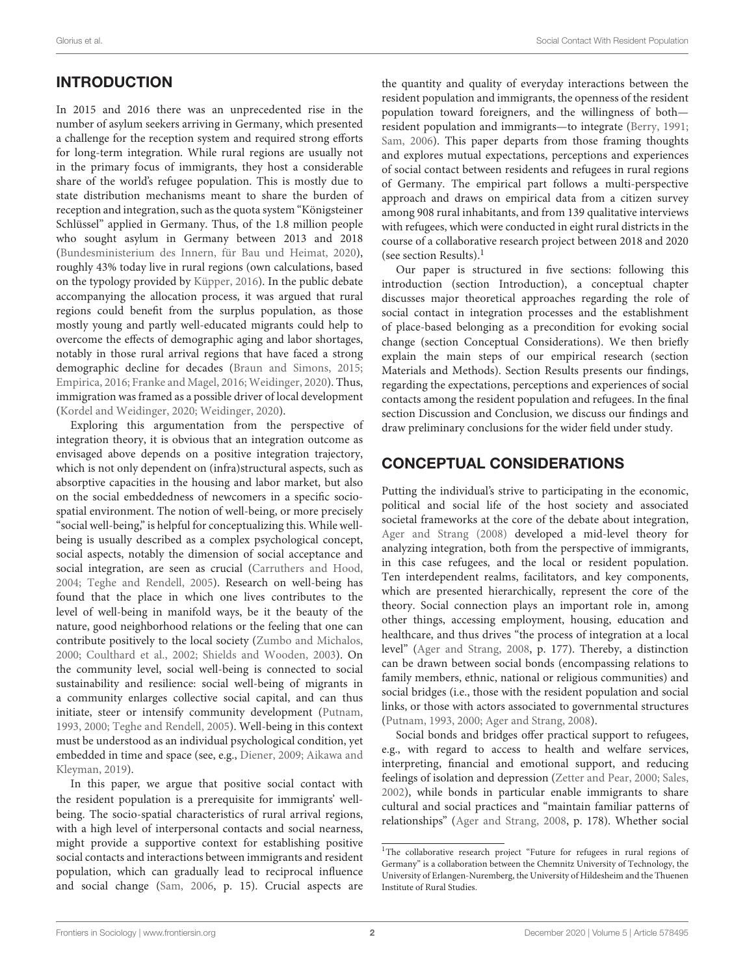# INTRODUCTION

In 2015 and 2016 there was an unprecedented rise in the number of asylum seekers arriving in Germany, which presented a challenge for the reception system and required strong efforts for long-term integration. While rural regions are usually not in the primary focus of immigrants, they host a considerable share of the world's refugee population. This is mostly due to state distribution mechanisms meant to share the burden of reception and integration, such as the quota system "Königsteiner Schlüssel" applied in Germany. Thus, of the 1.8 million people who sought asylum in Germany between 2013 and 2018 [\(Bundesministerium des Innern, für Bau und Heimat, 2020\)](#page-11-0), roughly 43% today live in rural regions (own calculations, based on the typology provided by [Küpper, 2016\)](#page-11-1). In the public debate accompanying the allocation process, it was argued that rural regions could benefit from the surplus population, as those mostly young and partly well-educated migrants could help to overcome the effects of demographic aging and labor shortages, notably in those rural arrival regions that have faced a strong demographic decline for decades [\(Braun and Simons, 2015;](#page-11-2) [Empirica, 2016;](#page-11-3) [Franke and Magel, 2016;](#page-11-4) [Weidinger, 2020\)](#page-12-0). Thus, immigration was framed as a possible driver of local development [\(Kordel and Weidinger, 2020;](#page-11-5) [Weidinger, 2020\)](#page-12-0).

Exploring this argumentation from the perspective of integration theory, it is obvious that an integration outcome as envisaged above depends on a positive integration trajectory, which is not only dependent on (infra)structural aspects, such as absorptive capacities in the housing and labor market, but also on the social embeddedness of newcomers in a specific sociospatial environment. The notion of well-being, or more precisely "social well-being," is helpful for conceptualizing this. While wellbeing is usually described as a complex psychological concept, social aspects, notably the dimension of social acceptance and social integration, are seen as crucial [\(Carruthers and Hood,](#page-11-6) [2004;](#page-11-6) [Teghe and Rendell, 2005\)](#page-12-1). Research on well-being has found that the place in which one lives contributes to the level of well-being in manifold ways, be it the beauty of the nature, good neighborhood relations or the feeling that one can contribute positively to the local society [\(Zumbo and Michalos,](#page-12-2) [2000;](#page-12-2) [Coulthard et al., 2002;](#page-11-7) [Shields and Wooden, 2003\)](#page-12-3). On the community level, social well-being is connected to social sustainability and resilience: social well-being of migrants in a community enlarges collective social capital, and can thus initiate, steer or intensify community development [\(Putnam,](#page-12-4) [1993,](#page-12-4) [2000;](#page-12-5) [Teghe and Rendell, 2005\)](#page-12-1). Well-being in this context must be understood as an individual psychological condition, yet embedded in time and space (see, e.g., [Diener, 2009;](#page-11-8) Aikawa and Kleyman, [2019\)](#page-11-9).

In this paper, we argue that positive social contact with the resident population is a prerequisite for immigrants' wellbeing. The socio-spatial characteristics of rural arrival regions, with a high level of interpersonal contacts and social nearness, might provide a supportive context for establishing positive social contacts and interactions between immigrants and resident population, which can gradually lead to reciprocal influence and social change [\(Sam, 2006,](#page-12-6) p. 15). Crucial aspects are the quantity and quality of everyday interactions between the resident population and immigrants, the openness of the resident population toward foreigners, and the willingness of both resident population and immigrants—to integrate [\(Berry, 1991;](#page-11-10) [Sam, 2006\)](#page-12-6). This paper departs from those framing thoughts and explores mutual expectations, perceptions and experiences of social contact between residents and refugees in rural regions of Germany. The empirical part follows a multi-perspective approach and draws on empirical data from a citizen survey among 908 rural inhabitants, and from 139 qualitative interviews with refugees, which were conducted in eight rural districts in the course of a collaborative research project between 2018 and 2020 (see section Results). $<sup>1</sup>$  $<sup>1</sup>$  $<sup>1</sup>$ </sup>

Our paper is structured in five sections: following this introduction (section Introduction), a conceptual chapter discusses major theoretical approaches regarding the role of social contact in integration processes and the establishment of place-based belonging as a precondition for evoking social change (section Conceptual Considerations). We then briefly explain the main steps of our empirical research (section Materials and Methods). Section Results presents our findings, regarding the expectations, perceptions and experiences of social contacts among the resident population and refugees. In the final section Discussion and Conclusion, we discuss our findings and draw preliminary conclusions for the wider field under study.

# CONCEPTUAL CONSIDERATIONS

Putting the individual's strive to participating in the economic, political and social life of the host society and associated societal frameworks at the core of the debate about integration, [Ager and Strang \(2008\)](#page-11-11) developed a mid-level theory for analyzing integration, both from the perspective of immigrants, in this case refugees, and the local or resident population. Ten interdependent realms, facilitators, and key components, which are presented hierarchically, represent the core of the theory. Social connection plays an important role in, among other things, accessing employment, housing, education and healthcare, and thus drives "the process of integration at a local level" [\(Ager and Strang, 2008,](#page-11-11) p. 177). Thereby, a distinction can be drawn between social bonds (encompassing relations to family members, ethnic, national or religious communities) and social bridges (i.e., those with the resident population and social links, or those with actors associated to governmental structures [\(Putnam, 1993,](#page-12-4) [2000;](#page-12-5) [Ager and Strang, 2008\)](#page-11-11).

Social bonds and bridges offer practical support to refugees, e.g., with regard to access to health and welfare services, interpreting, financial and emotional support, and reducing feelings of isolation and depression [\(Zetter and Pear, 2000;](#page-12-7) [Sales,](#page-12-8) [2002\)](#page-12-8), while bonds in particular enable immigrants to share cultural and social practices and "maintain familiar patterns of relationships" [\(Ager and Strang, 2008,](#page-11-11) p. 178). Whether social

<span id="page-1-0"></span><sup>&</sup>lt;sup>1</sup>The collaborative research project "Future for refugees in rural regions of Germany" is a collaboration between the Chemnitz University of Technology, the University of Erlangen-Nuremberg, the University of Hildesheim and the Thuenen Institute of Rural Studies.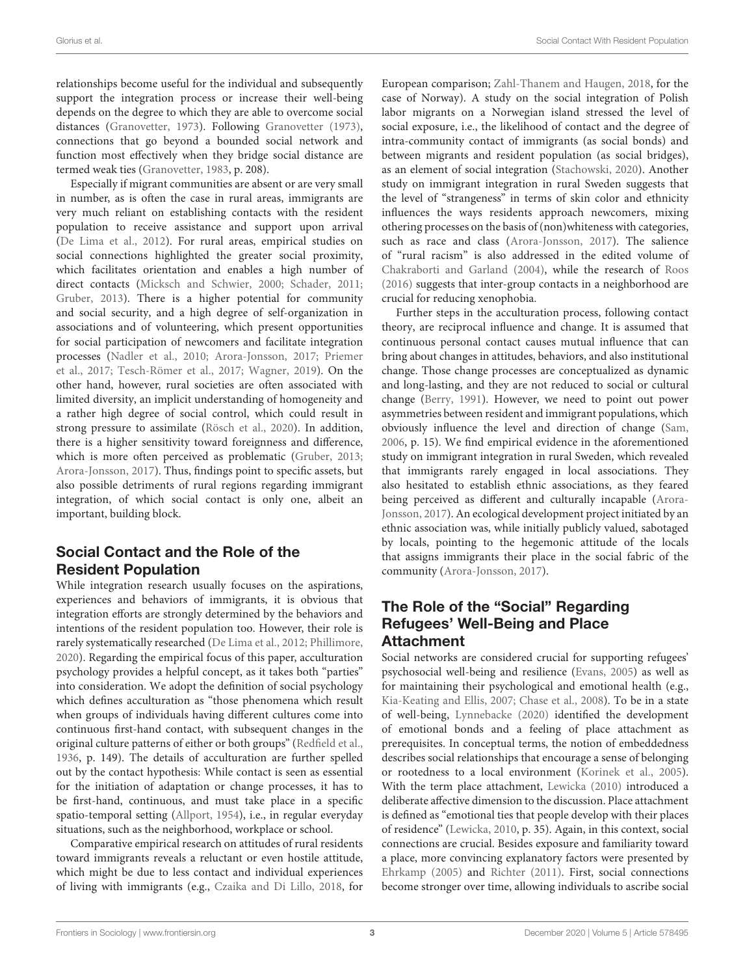relationships become useful for the individual and subsequently support the integration process or increase their well-being depends on the degree to which they are able to overcome social distances [\(Granovetter, 1973\)](#page-11-12). Following [Granovetter \(1973\)](#page-11-12), connections that go beyond a bounded social network and function most effectively when they bridge social distance are termed weak ties [\(Granovetter, 1983,](#page-11-13) p. 208).

Especially if migrant communities are absent or are very small in number, as is often the case in rural areas, immigrants are very much reliant on establishing contacts with the resident population to receive assistance and support upon arrival [\(De Lima et al., 2012\)](#page-11-14). For rural areas, empirical studies on social connections highlighted the greater social proximity, which facilitates orientation and enables a high number of direct contacts [\(Micksch and Schwier, 2000;](#page-12-9) [Schader, 2011;](#page-12-10) [Gruber, 2013\)](#page-11-15). There is a higher potential for community and social security, and a high degree of self-organization in associations and of volunteering, which present opportunities for social participation of newcomers and facilitate integration processes [\(Nadler et al., 2010;](#page-12-11) [Arora-Jonsson, 2017;](#page-11-16) Priemer et al., [2017;](#page-12-12) [Tesch-Römer et al., 2017;](#page-12-13) [Wagner, 2019\)](#page-12-14). On the other hand, however, rural societies are often associated with limited diversity, an implicit understanding of homogeneity and a rather high degree of social control, which could result in strong pressure to assimilate [\(Rösch et al., 2020\)](#page-12-15). In addition, there is a higher sensitivity toward foreignness and difference, which is more often perceived as problematic [\(Gruber, 2013;](#page-11-15) [Arora-Jonsson, 2017\)](#page-11-16). Thus, findings point to specific assets, but also possible detriments of rural regions regarding immigrant integration, of which social contact is only one, albeit an important, building block.

# Social Contact and the Role of the Resident Population

While integration research usually focuses on the aspirations, experiences and behaviors of immigrants, it is obvious that integration efforts are strongly determined by the behaviors and intentions of the resident population too. However, their role is rarely systematically researched [\(De Lima et al., 2012;](#page-11-14) [Phillimore,](#page-12-16) [2020\)](#page-12-16). Regarding the empirical focus of this paper, acculturation psychology provides a helpful concept, as it takes both "parties" into consideration. We adopt the definition of social psychology which defines acculturation as "those phenomena which result when groups of individuals having different cultures come into continuous first-hand contact, with subsequent changes in the original culture patterns of either or both groups" [\(Redfield et al.,](#page-12-17) [1936,](#page-12-17) p. 149). The details of acculturation are further spelled out by the contact hypothesis: While contact is seen as essential for the initiation of adaptation or change processes, it has to be first-hand, continuous, and must take place in a specific spatio-temporal setting [\(Allport, 1954\)](#page-11-17), i.e., in regular everyday situations, such as the neighborhood, workplace or school.

Comparative empirical research on attitudes of rural residents toward immigrants reveals a reluctant or even hostile attitude, which might be due to less contact and individual experiences of living with immigrants (e.g., [Czaika and Di Lillo, 2018,](#page-11-18) for European comparison; [Zahl-Thanem and Haugen, 2018,](#page-12-18) for the case of Norway). A study on the social integration of Polish labor migrants on a Norwegian island stressed the level of social exposure, i.e., the likelihood of contact and the degree of intra-community contact of immigrants (as social bonds) and between migrants and resident population (as social bridges), as an element of social integration [\(Stachowski, 2020\)](#page-12-19). Another study on immigrant integration in rural Sweden suggests that the level of "strangeness" in terms of skin color and ethnicity influences the ways residents approach newcomers, mixing othering processes on the basis of (non)whiteness with categories, such as race and class [\(Arora-Jonsson, 2017\)](#page-11-16). The salience of "rural racism" is also addressed in the edited volume of [Chakraborti and Garland \(2004\)](#page-11-19), while the research of [Roos](#page-12-20) [\(2016\)](#page-12-20) suggests that inter-group contacts in a neighborhood are crucial for reducing xenophobia.

Further steps in the acculturation process, following contact theory, are reciprocal influence and change. It is assumed that continuous personal contact causes mutual influence that can bring about changes in attitudes, behaviors, and also institutional change. Those change processes are conceptualized as dynamic and long-lasting, and they are not reduced to social or cultural change [\(Berry, 1991\)](#page-11-10). However, we need to point out power asymmetries between resident and immigrant populations, which obviously influence the level and direction of change [\(Sam,](#page-12-6) [2006,](#page-12-6) p. 15). We find empirical evidence in the aforementioned study on immigrant integration in rural Sweden, which revealed that immigrants rarely engaged in local associations. They also hesitated to establish ethnic associations, as they feared being perceived as different and culturally incapable (Arora-Jonsson, [2017\)](#page-11-16). An ecological development project initiated by an ethnic association was, while initially publicly valued, sabotaged by locals, pointing to the hegemonic attitude of the locals that assigns immigrants their place in the social fabric of the community [\(Arora-Jonsson, 2017\)](#page-11-16).

# The Role of the "Social" Regarding Refugees' Well-Being and Place Attachment

Social networks are considered crucial for supporting refugees' psychosocial well-being and resilience [\(Evans, 2005\)](#page-11-20) as well as for maintaining their psychological and emotional health (e.g., [Kia-Keating and Ellis, 2007;](#page-11-21) [Chase et al., 2008\)](#page-11-22). To be in a state of well-being, [Lynnebacke \(2020\)](#page-12-21) identified the development of emotional bonds and a feeling of place attachment as prerequisites. In conceptual terms, the notion of embeddedness describes social relationships that encourage a sense of belonging or rootedness to a local environment [\(Korinek et al., 2005\)](#page-11-23). With the term place attachment, [Lewicka \(2010\)](#page-11-24) introduced a deliberate affective dimension to the discussion. Place attachment is defined as "emotional ties that people develop with their places of residence" [\(Lewicka, 2010,](#page-11-24) p. 35). Again, in this context, social connections are crucial. Besides exposure and familiarity toward a place, more convincing explanatory factors were presented by [Ehrkamp \(2005\)](#page-11-25) and [Richter \(2011\)](#page-12-22). First, social connections become stronger over time, allowing individuals to ascribe social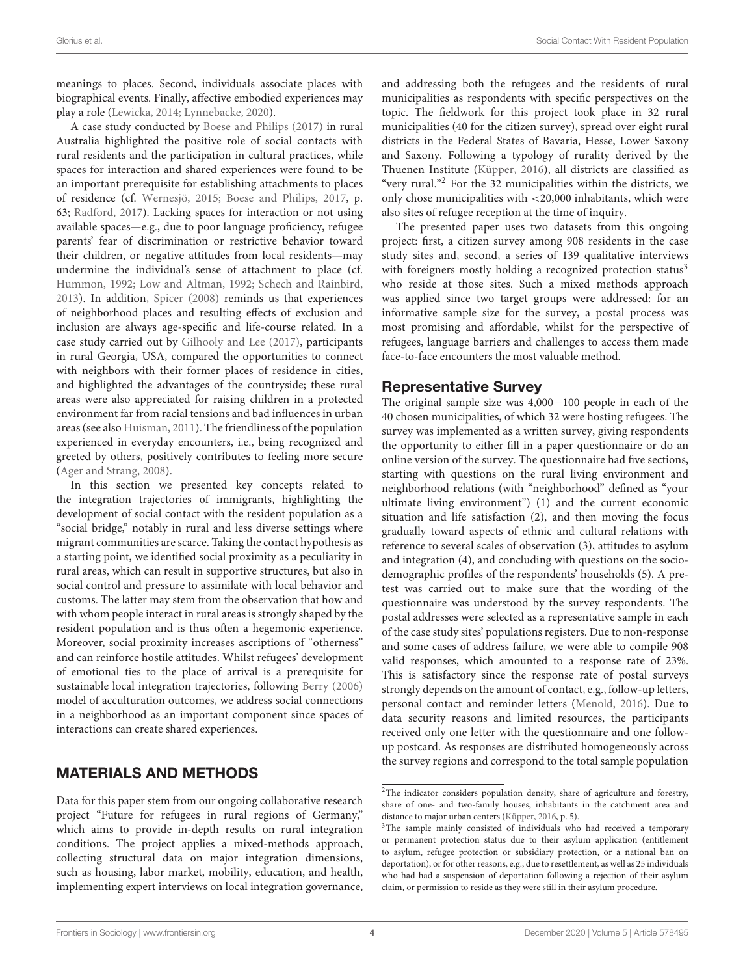meanings to places. Second, individuals associate places with biographical events. Finally, affective embodied experiences may play a role [\(Lewicka, 2014;](#page-11-26) [Lynnebacke, 2020\)](#page-12-21).

A case study conducted by [Boese and Philips \(2017\)](#page-11-27) in rural Australia highlighted the positive role of social contacts with rural residents and the participation in cultural practices, while spaces for interaction and shared experiences were found to be an important prerequisite for establishing attachments to places of residence (cf. [Wernesjö, 2015;](#page-12-23) [Boese and Philips, 2017,](#page-11-27) p. 63; [Radford, 2017\)](#page-12-24). Lacking spaces for interaction or not using available spaces—e.g., due to poor language proficiency, refugee parents' fear of discrimination or restrictive behavior toward their children, or negative attitudes from local residents—may undermine the individual's sense of attachment to place (cf. [Hummon, 1992;](#page-11-28) [Low and Altman, 1992;](#page-11-29) [Schech and Rainbird,](#page-12-25) [2013\)](#page-12-25). In addition, [Spicer \(2008\)](#page-12-26) reminds us that experiences of neighborhood places and resulting effects of exclusion and inclusion are always age-specific and life-course related. In a case study carried out by [Gilhooly and Lee \(2017\)](#page-11-30), participants in rural Georgia, USA, compared the opportunities to connect with neighbors with their former places of residence in cities, and highlighted the advantages of the countryside; these rural areas were also appreciated for raising children in a protected environment far from racial tensions and bad influences in urban areas (see also [Huisman, 2011\)](#page-11-31). The friendliness of the population experienced in everyday encounters, i.e., being recognized and greeted by others, positively contributes to feeling more secure [\(Ager and Strang, 2008\)](#page-11-11).

In this section we presented key concepts related to the integration trajectories of immigrants, highlighting the development of social contact with the resident population as a "social bridge," notably in rural and less diverse settings where migrant communities are scarce. Taking the contact hypothesis as a starting point, we identified social proximity as a peculiarity in rural areas, which can result in supportive structures, but also in social control and pressure to assimilate with local behavior and customs. The latter may stem from the observation that how and with whom people interact in rural areas is strongly shaped by the resident population and is thus often a hegemonic experience. Moreover, social proximity increases ascriptions of "otherness" and can reinforce hostile attitudes. Whilst refugees' development of emotional ties to the place of arrival is a prerequisite for sustainable local integration trajectories, following [Berry \(2006\)](#page-11-32) model of acculturation outcomes, we address social connections in a neighborhood as an important component since spaces of interactions can create shared experiences.

# MATERIALS AND METHODS

Data for this paper stem from our ongoing collaborative research project "Future for refugees in rural regions of Germany," which aims to provide in-depth results on rural integration conditions. The project applies a mixed-methods approach, collecting structural data on major integration dimensions, such as housing, labor market, mobility, education, and health, implementing expert interviews on local integration governance, and addressing both the refugees and the residents of rural municipalities as respondents with specific perspectives on the topic. The fieldwork for this project took place in 32 rural municipalities (40 for the citizen survey), spread over eight rural districts in the Federal States of Bavaria, Hesse, Lower Saxony and Saxony. Following a typology of rurality derived by the Thuenen Institute [\(Küpper, 2016\)](#page-11-1), all districts are classified as "very rural."<sup>[2](#page-3-0)</sup> For the 32 municipalities within the districts, we only chose municipalities with <20,000 inhabitants, which were also sites of refugee reception at the time of inquiry.

The presented paper uses two datasets from this ongoing project: first, a citizen survey among 908 residents in the case study sites and, second, a series of 139 qualitative interviews with foreigners mostly holding a recognized protection status<sup>[3](#page-3-1)</sup> who reside at those sites. Such a mixed methods approach was applied since two target groups were addressed: for an informative sample size for the survey, a postal process was most promising and affordable, whilst for the perspective of refugees, language barriers and challenges to access them made face-to-face encounters the most valuable method.

## Representative Survey

The original sample size was 4,000−100 people in each of the 40 chosen municipalities, of which 32 were hosting refugees. The survey was implemented as a written survey, giving respondents the opportunity to either fill in a paper questionnaire or do an online version of the survey. The questionnaire had five sections, starting with questions on the rural living environment and neighborhood relations (with "neighborhood" defined as "your ultimate living environment") (1) and the current economic situation and life satisfaction (2), and then moving the focus gradually toward aspects of ethnic and cultural relations with reference to several scales of observation (3), attitudes to asylum and integration (4), and concluding with questions on the sociodemographic profiles of the respondents' households (5). A pretest was carried out to make sure that the wording of the questionnaire was understood by the survey respondents. The postal addresses were selected as a representative sample in each of the case study sites' populations registers. Due to non-response and some cases of address failure, we were able to compile 908 valid responses, which amounted to a response rate of 23%. This is satisfactory since the response rate of postal surveys strongly depends on the amount of contact, e.g., follow-up letters, personal contact and reminder letters [\(Menold, 2016\)](#page-12-27). Due to data security reasons and limited resources, the participants received only one letter with the questionnaire and one followup postcard. As responses are distributed homogeneously across the survey regions and correspond to the total sample population

<span id="page-3-0"></span><sup>2</sup>The indicator considers population density, share of agriculture and forestry, share of one- and two-family houses, inhabitants in the catchment area and distance to major urban centers [\(Küpper, 2016,](#page-11-1) p. 5).

<span id="page-3-1"></span><sup>&</sup>lt;sup>3</sup>The sample mainly consisted of individuals who had received a temporary or permanent protection status due to their asylum application (entitlement to asylum, refugee protection or subsidiary protection, or a national ban on deportation), or for other reasons, e.g., due to resettlement, as well as 25 individuals who had had a suspension of deportation following a rejection of their asylum claim, or permission to reside as they were still in their asylum procedure.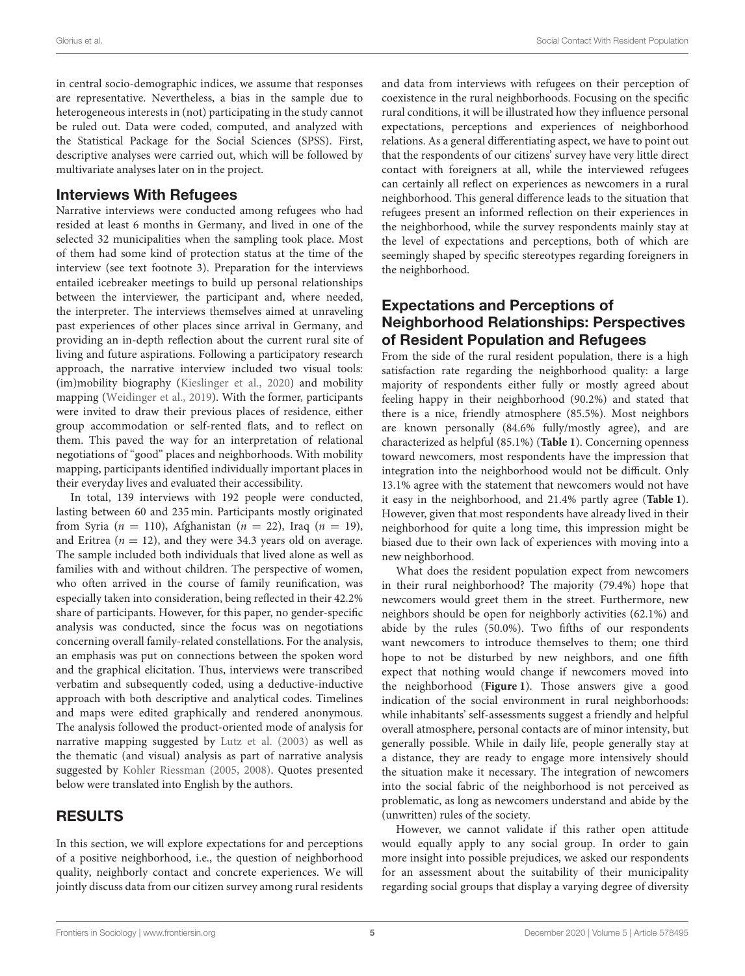in central socio-demographic indices, we assume that responses are representative. Nevertheless, a bias in the sample due to heterogeneous interests in (not) participating in the study cannot be ruled out. Data were coded, computed, and analyzed with the Statistical Package for the Social Sciences (SPSS). First, descriptive analyses were carried out, which will be followed by multivariate analyses later on in the project.

## Interviews With Refugees

Narrative interviews were conducted among refugees who had resided at least 6 months in Germany, and lived in one of the selected 32 municipalities when the sampling took place. Most of them had some kind of protection status at the time of the interview (see text footnote 3). Preparation for the interviews entailed icebreaker meetings to build up personal relationships between the interviewer, the participant and, where needed, the interpreter. The interviews themselves aimed at unraveling past experiences of other places since arrival in Germany, and providing an in-depth reflection about the current rural site of living and future aspirations. Following a participatory research approach, the narrative interview included two visual tools: (im)mobility biography [\(Kieslinger et al., 2020\)](#page-11-33) and mobility mapping [\(Weidinger et al., 2019\)](#page-12-28). With the former, participants were invited to draw their previous places of residence, either group accommodation or self-rented flats, and to reflect on them. This paved the way for an interpretation of relational negotiations of "good" places and neighborhoods. With mobility mapping, participants identified individually important places in their everyday lives and evaluated their accessibility.

In total, 139 interviews with 192 people were conducted, lasting between 60 and 235 min. Participants mostly originated from Syria ( $n = 110$ ), Afghanistan ( $n = 22$ ), Iraq ( $n = 19$ ), and Eritrea ( $n = 12$ ), and they were 34.3 years old on average. The sample included both individuals that lived alone as well as families with and without children. The perspective of women, who often arrived in the course of family reunification, was especially taken into consideration, being reflected in their 42.2% share of participants. However, for this paper, no gender-specific analysis was conducted, since the focus was on negotiations concerning overall family-related constellations. For the analysis, an emphasis was put on connections between the spoken word and the graphical elicitation. Thus, interviews were transcribed verbatim and subsequently coded, using a deductive-inductive approach with both descriptive and analytical codes. Timelines and maps were edited graphically and rendered anonymous. The analysis followed the product-oriented mode of analysis for narrative mapping suggested by [Lutz et al. \(2003\)](#page-11-34) as well as the thematic (and visual) analysis as part of narrative analysis suggested by [Kohler Riessman \(2005,](#page-11-35) [2008\)](#page-11-36). Quotes presented below were translated into English by the authors.

# RESULTS

In this section, we will explore expectations for and perceptions of a positive neighborhood, i.e., the question of neighborhood quality, neighborly contact and concrete experiences. We will jointly discuss data from our citizen survey among rural residents and data from interviews with refugees on their perception of coexistence in the rural neighborhoods. Focusing on the specific rural conditions, it will be illustrated how they influence personal expectations, perceptions and experiences of neighborhood relations. As a general differentiating aspect, we have to point out that the respondents of our citizens' survey have very little direct contact with foreigners at all, while the interviewed refugees can certainly all reflect on experiences as newcomers in a rural neighborhood. This general difference leads to the situation that refugees present an informed reflection on their experiences in the neighborhood, while the survey respondents mainly stay at the level of expectations and perceptions, both of which are seemingly shaped by specific stereotypes regarding foreigners in the neighborhood.

# Expectations and Perceptions of Neighborhood Relationships: Perspectives of Resident Population and Refugees

From the side of the rural resident population, there is a high satisfaction rate regarding the neighborhood quality: a large majority of respondents either fully or mostly agreed about feeling happy in their neighborhood (90.2%) and stated that there is a nice, friendly atmosphere (85.5%). Most neighbors are known personally (84.6% fully/mostly agree), and are characterized as helpful (85.1%) (**[Table 1](#page-5-0)**). Concerning openness toward newcomers, most respondents have the impression that integration into the neighborhood would not be difficult. Only 13.1% agree with the statement that newcomers would not have it easy in the neighborhood, and 21.4% partly agree (**[Table 1](#page-5-0)**). However, given that most respondents have already lived in their neighborhood for quite a long time, this impression might be biased due to their own lack of experiences with moving into a new neighborhood.

What does the resident population expect from newcomers in their rural neighborhood? The majority (79.4%) hope that newcomers would greet them in the street. Furthermore, new neighbors should be open for neighborly activities (62.1%) and abide by the rules (50.0%). Two fifths of our respondents want newcomers to introduce themselves to them; one third hope to not be disturbed by new neighbors, and one fifth expect that nothing would change if newcomers moved into the neighborhood (**[Figure 1](#page-5-1)**). Those answers give a good indication of the social environment in rural neighborhoods: while inhabitants' self-assessments suggest a friendly and helpful overall atmosphere, personal contacts are of minor intensity, but generally possible. While in daily life, people generally stay at a distance, they are ready to engage more intensively should the situation make it necessary. The integration of newcomers into the social fabric of the neighborhood is not perceived as problematic, as long as newcomers understand and abide by the (unwritten) rules of the society.

However, we cannot validate if this rather open attitude would equally apply to any social group. In order to gain more insight into possible prejudices, we asked our respondents for an assessment about the suitability of their municipality regarding social groups that display a varying degree of diversity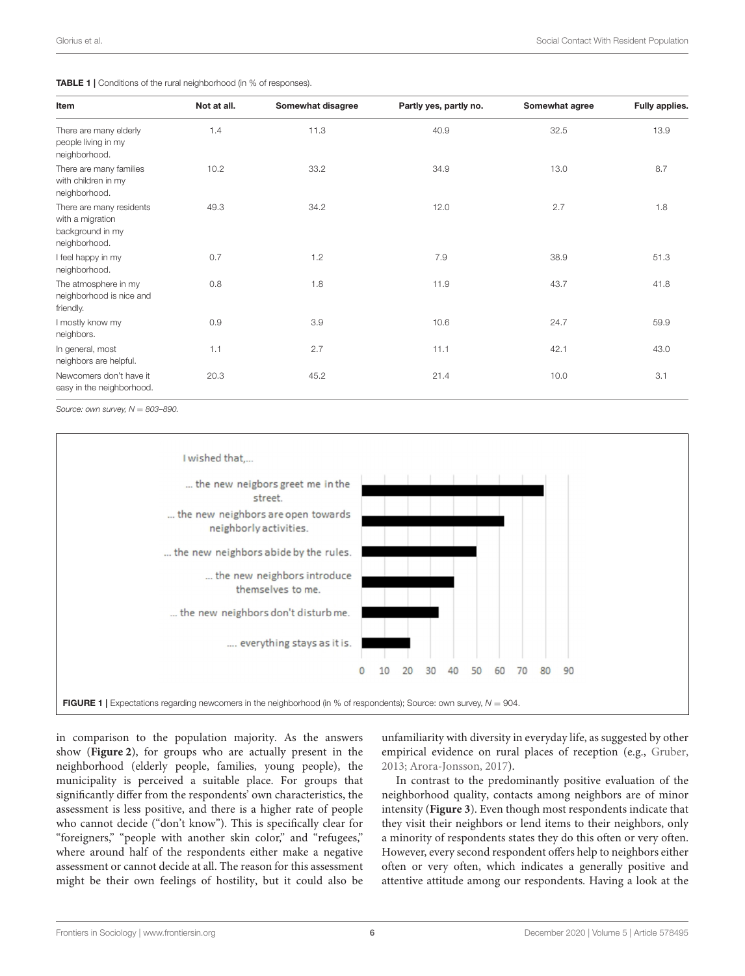<span id="page-5-0"></span>

|  | <b>TABLE 1</b>   Conditions of the rural neighborhood (in % of responses). |  |
|--|----------------------------------------------------------------------------|--|
|  |                                                                            |  |

| Item                                                                              | Not at all. | Somewhat disagree | Partly yes, partly no. | Somewhat agree | Fully applies. |
|-----------------------------------------------------------------------------------|-------------|-------------------|------------------------|----------------|----------------|
| There are many elderly<br>people living in my<br>neighborhood.                    | 1.4         | 11.3              | 40.9                   | 32.5           | 13.9           |
| There are many families<br>with children in my<br>neighborhood.                   | 10.2        | 33.2              | 34.9                   | 13.0           | 8.7            |
| There are many residents<br>with a migration<br>background in my<br>neighborhood. | 49.3        | 34.2              | 12.0                   | 2.7            | 1.8            |
| I feel happy in my<br>neighborhood.                                               | 0.7         | 1.2               | 7.9                    | 38.9           | 51.3           |
| The atmosphere in my<br>neighborhood is nice and<br>friendly.                     | 0.8         | 1.8               | 11.9                   | 43.7           | 41.8           |
| I mostly know my<br>neighbors.                                                    | 0.9         | 3.9               | 10.6                   | 24.7           | 59.9           |
| In general, most<br>neighbors are helpful.                                        | 1.1         | 2.7               | 11.1                   | 42.1           | 43.0           |
| Newcomers don't have it<br>easy in the neighborhood.                              | 20.3        | 45.2              | 21.4                   | 10.0           | 3.1            |

Source: own survey,  $N = 803 - 890$ .



<span id="page-5-1"></span>in comparison to the population majority. As the answers show (**[Figure 2](#page-6-0)**), for groups who are actually present in the neighborhood (elderly people, families, young people), the municipality is perceived a suitable place. For groups that significantly differ from the respondents' own characteristics, the assessment is less positive, and there is a higher rate of people who cannot decide ("don't know"). This is specifically clear for "foreigners," "people with another skin color," and "refugees," where around half of the respondents either make a negative assessment or cannot decide at all. The reason for this assessment might be their own feelings of hostility, but it could also be

unfamiliarity with diversity in everyday life, as suggested by other empirical evidence on rural places of reception (e.g., [Gruber,](#page-11-15) [2013;](#page-11-15) [Arora-Jonsson, 2017\)](#page-11-16).

In contrast to the predominantly positive evaluation of the neighborhood quality, contacts among neighbors are of minor intensity (**[Figure 3](#page-7-0)**). Even though most respondents indicate that they visit their neighbors or lend items to their neighbors, only a minority of respondents states they do this often or very often. However, every second respondent offers help to neighbors either often or very often, which indicates a generally positive and attentive attitude among our respondents. Having a look at the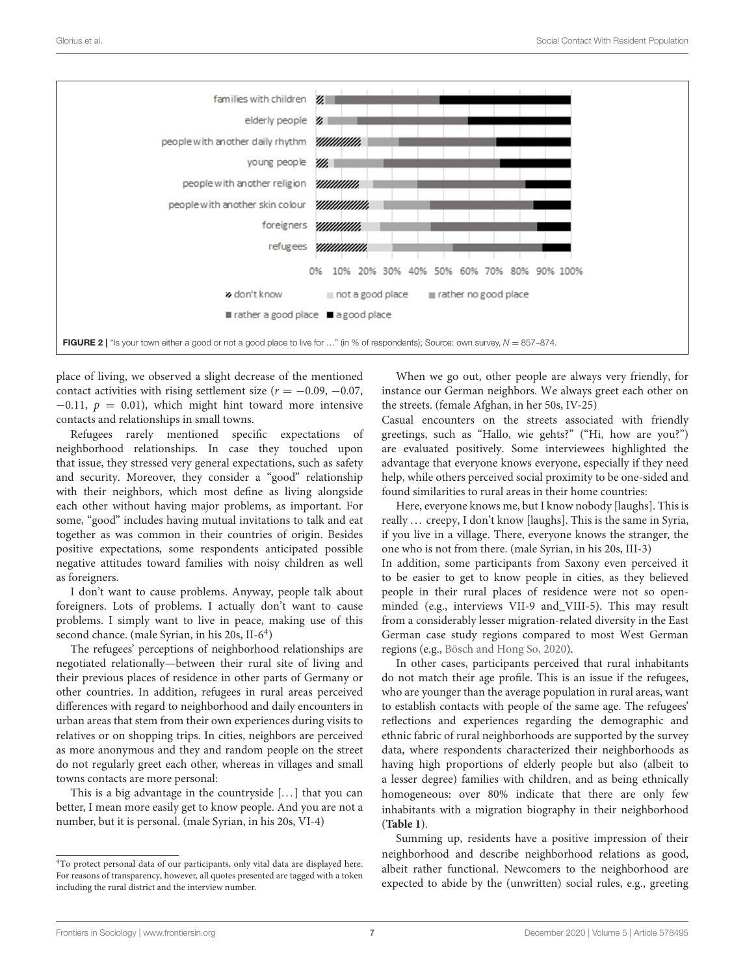

<span id="page-6-0"></span>place of living, we observed a slight decrease of the mentioned contact activities with rising settlement size ( $r = -0.09, -0.07$ ,  $-0.11$ ,  $p = 0.01$ ), which might hint toward more intensive contacts and relationships in small towns.

Refugees rarely mentioned specific expectations of neighborhood relationships. In case they touched upon that issue, they stressed very general expectations, such as safety and security. Moreover, they consider a "good" relationship with their neighbors, which most define as living alongside each other without having major problems, as important. For some, "good" includes having mutual invitations to talk and eat together as was common in their countries of origin. Besides positive expectations, some respondents anticipated possible negative attitudes toward families with noisy children as well as foreigners.

I don't want to cause problems. Anyway, people talk about foreigners. Lots of problems. I actually don't want to cause problems. I simply want to live in peace, making use of this second chance. (male Syrian, in his 20s, II-6<sup>[4](#page-6-1)</sup>)

The refugees' perceptions of neighborhood relationships are negotiated relationally—between their rural site of living and their previous places of residence in other parts of Germany or other countries. In addition, refugees in rural areas perceived differences with regard to neighborhood and daily encounters in urban areas that stem from their own experiences during visits to relatives or on shopping trips. In cities, neighbors are perceived as more anonymous and they and random people on the street do not regularly greet each other, whereas in villages and small towns contacts are more personal:

This is a big advantage in the countryside  $[...]$  that you can better, I mean more easily get to know people. And you are not a number, but it is personal. (male Syrian, in his 20s, VI-4)

When we go out, other people are always very friendly, for instance our German neighbors. We always greet each other on the streets. (female Afghan, in her 50s, IV-25)

Casual encounters on the streets associated with friendly greetings, such as "Hallo, wie gehts?" ("Hi, how are you?") are evaluated positively. Some interviewees highlighted the advantage that everyone knows everyone, especially if they need help, while others perceived social proximity to be one-sided and found similarities to rural areas in their home countries:

Here, everyone knows me, but I know nobody [laughs]. This is really ... creepy, I don't know [laughs]. This is the same in Syria, if you live in a village. There, everyone knows the stranger, the one who is not from there. (male Syrian, in his 20s, III-3)

In addition, some participants from Saxony even perceived it to be easier to get to know people in cities, as they believed people in their rural places of residence were not so openminded (e.g., interviews VII-9 and\_VIII-5). This may result from a considerably lesser migration-related diversity in the East German case study regions compared to most West German regions (e.g., [Bösch and Hong So, 2020\)](#page-11-37).

In other cases, participants perceived that rural inhabitants do not match their age profile. This is an issue if the refugees, who are younger than the average population in rural areas, want to establish contacts with people of the same age. The refugees' reflections and experiences regarding the demographic and ethnic fabric of rural neighborhoods are supported by the survey data, where respondents characterized their neighborhoods as having high proportions of elderly people but also (albeit to a lesser degree) families with children, and as being ethnically homogeneous: over 80% indicate that there are only few inhabitants with a migration biography in their neighborhood (**[Table 1](#page-5-0)**).

Summing up, residents have a positive impression of their neighborhood and describe neighborhood relations as good, albeit rather functional. Newcomers to the neighborhood are expected to abide by the (unwritten) social rules, e.g., greeting

<span id="page-6-1"></span><sup>4</sup>To protect personal data of our participants, only vital data are displayed here. For reasons of transparency, however, all quotes presented are tagged with a token including the rural district and the interview number.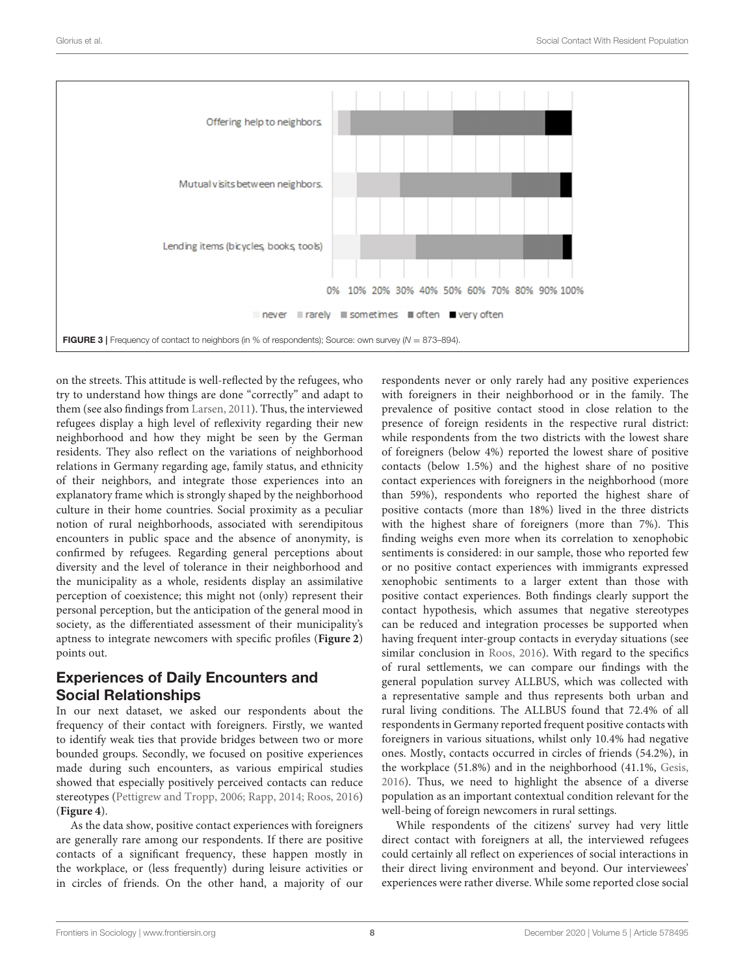

<span id="page-7-0"></span>on the streets. This attitude is well-reflected by the refugees, who try to understand how things are done "correctly" and adapt to them (see also findings from [Larsen, 2011\)](#page-11-38). Thus, the interviewed refugees display a high level of reflexivity regarding their new neighborhood and how they might be seen by the German residents. They also reflect on the variations of neighborhood relations in Germany regarding age, family status, and ethnicity of their neighbors, and integrate those experiences into an explanatory frame which is strongly shaped by the neighborhood culture in their home countries. Social proximity as a peculiar notion of rural neighborhoods, associated with serendipitous encounters in public space and the absence of anonymity, is confirmed by refugees. Regarding general perceptions about diversity and the level of tolerance in their neighborhood and the municipality as a whole, residents display an assimilative perception of coexistence; this might not (only) represent their personal perception, but the anticipation of the general mood in society, as the differentiated assessment of their municipality's aptness to integrate newcomers with specific profiles (**[Figure 2](#page-6-0)**) points out.

# Experiences of Daily Encounters and Social Relationships

In our next dataset, we asked our respondents about the frequency of their contact with foreigners. Firstly, we wanted to identify weak ties that provide bridges between two or more bounded groups. Secondly, we focused on positive experiences made during such encounters, as various empirical studies showed that especially positively perceived contacts can reduce stereotypes [\(Pettigrew and Tropp, 2006;](#page-12-29) [Rapp, 2014;](#page-12-30) [Roos, 2016\)](#page-12-20) (**[Figure 4](#page-8-0)**).

As the data show, positive contact experiences with foreigners are generally rare among our respondents. If there are positive contacts of a significant frequency, these happen mostly in the workplace, or (less frequently) during leisure activities or in circles of friends. On the other hand, a majority of our respondents never or only rarely had any positive experiences with foreigners in their neighborhood or in the family. The prevalence of positive contact stood in close relation to the presence of foreign residents in the respective rural district: while respondents from the two districts with the lowest share of foreigners (below 4%) reported the lowest share of positive contacts (below 1.5%) and the highest share of no positive contact experiences with foreigners in the neighborhood (more than 59%), respondents who reported the highest share of positive contacts (more than 18%) lived in the three districts with the highest share of foreigners (more than 7%). This finding weighs even more when its correlation to xenophobic sentiments is considered: in our sample, those who reported few or no positive contact experiences with immigrants expressed xenophobic sentiments to a larger extent than those with positive contact experiences. Both findings clearly support the contact hypothesis, which assumes that negative stereotypes can be reduced and integration processes be supported when having frequent inter-group contacts in everyday situations (see similar conclusion in [Roos, 2016\)](#page-12-20). With regard to the specifics of rural settlements, we can compare our findings with the general population survey ALLBUS, which was collected with a representative sample and thus represents both urban and rural living conditions. The ALLBUS found that 72.4% of all respondents in Germany reported frequent positive contacts with foreigners in various situations, whilst only 10.4% had negative ones. Mostly, contacts occurred in circles of friends (54.2%), in the workplace (51.8%) and in the neighborhood (41.1%, [Gesis,](#page-11-39) [2016\)](#page-11-39). Thus, we need to highlight the absence of a diverse population as an important contextual condition relevant for the well-being of foreign newcomers in rural settings.

While respondents of the citizens' survey had very little direct contact with foreigners at all, the interviewed refugees could certainly all reflect on experiences of social interactions in their direct living environment and beyond. Our interviewees' experiences were rather diverse. While some reported close social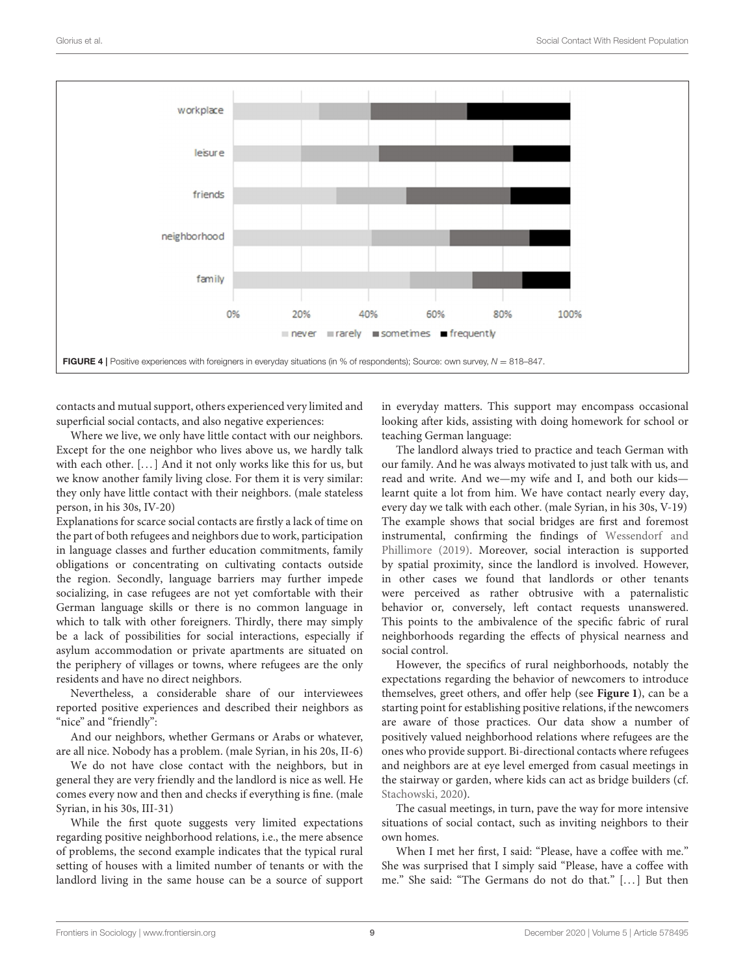

<span id="page-8-0"></span>contacts and mutual support, others experienced very limited and superficial social contacts, and also negative experiences:

Where we live, we only have little contact with our neighbors. Except for the one neighbor who lives above us, we hardly talk with each other. [...] And it not only works like this for us, but we know another family living close. For them it is very similar: they only have little contact with their neighbors. (male stateless person, in his 30s, IV-20)

Explanations for scarce social contacts are firstly a lack of time on the part of both refugees and neighbors due to work, participation in language classes and further education commitments, family obligations or concentrating on cultivating contacts outside the region. Secondly, language barriers may further impede socializing, in case refugees are not yet comfortable with their German language skills or there is no common language in which to talk with other foreigners. Thirdly, there may simply be a lack of possibilities for social interactions, especially if asylum accommodation or private apartments are situated on the periphery of villages or towns, where refugees are the only residents and have no direct neighbors.

Nevertheless, a considerable share of our interviewees reported positive experiences and described their neighbors as "nice" and "friendly":

And our neighbors, whether Germans or Arabs or whatever, are all nice. Nobody has a problem. (male Syrian, in his 20s, II-6)

We do not have close contact with the neighbors, but in general they are very friendly and the landlord is nice as well. He comes every now and then and checks if everything is fine. (male Syrian, in his 30s, III-31)

While the first quote suggests very limited expectations regarding positive neighborhood relations, i.e., the mere absence of problems, the second example indicates that the typical rural setting of houses with a limited number of tenants or with the landlord living in the same house can be a source of support

in everyday matters. This support may encompass occasional looking after kids, assisting with doing homework for school or teaching German language:

The landlord always tried to practice and teach German with our family. And he was always motivated to just talk with us, and read and write. And we—my wife and I, and both our kids learnt quite a lot from him. We have contact nearly every day, every day we talk with each other. (male Syrian, in his 30s, V-19) The example shows that social bridges are first and foremost instrumental, confirming the findings of Wessendorf and Phillimore [\(2019\)](#page-12-31). Moreover, social interaction is supported by spatial proximity, since the landlord is involved. However, in other cases we found that landlords or other tenants were perceived as rather obtrusive with a paternalistic behavior or, conversely, left contact requests unanswered. This points to the ambivalence of the specific fabric of rural neighborhoods regarding the effects of physical nearness and social control.

However, the specifics of rural neighborhoods, notably the expectations regarding the behavior of newcomers to introduce themselves, greet others, and offer help (see **[Figure 1](#page-5-1)**), can be a starting point for establishing positive relations, if the newcomers are aware of those practices. Our data show a number of positively valued neighborhood relations where refugees are the ones who provide support. Bi-directional contacts where refugees and neighbors are at eye level emerged from casual meetings in the stairway or garden, where kids can act as bridge builders (cf. [Stachowski, 2020\)](#page-12-19).

The casual meetings, in turn, pave the way for more intensive situations of social contact, such as inviting neighbors to their own homes.

When I met her first, I said: "Please, have a coffee with me." She was surprised that I simply said "Please, have a coffee with me." She said: "The Germans do not do that." [. . . ] But then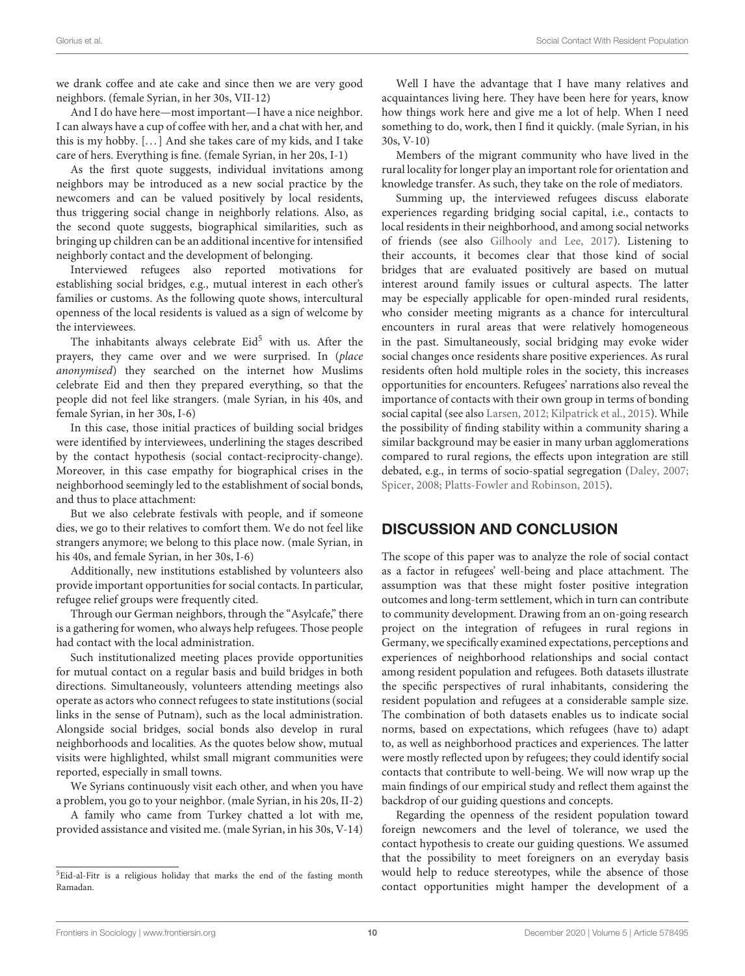we drank coffee and ate cake and since then we are very good neighbors. (female Syrian, in her 30s, VII-12)

And I do have here—most important—I have a nice neighbor. I can always have a cup of coffee with her, and a chat with her, and this is my hobby. [...] And she takes care of my kids, and I take care of hers. Everything is fine. (female Syrian, in her 20s, I-1)

As the first quote suggests, individual invitations among neighbors may be introduced as a new social practice by the newcomers and can be valued positively by local residents, thus triggering social change in neighborly relations. Also, as the second quote suggests, biographical similarities, such as bringing up children can be an additional incentive for intensified neighborly contact and the development of belonging.

Interviewed refugees also reported motivations for establishing social bridges, e.g., mutual interest in each other's families or customs. As the following quote shows, intercultural openness of the local residents is valued as a sign of welcome by the interviewees.

The inhabitants always celebrate  $Eid<sup>5</sup>$  $Eid<sup>5</sup>$  $Eid<sup>5</sup>$  with us. After the prayers, they came over and we were surprised. In (place anonymised) they searched on the internet how Muslims celebrate Eid and then they prepared everything, so that the people did not feel like strangers. (male Syrian, in his 40s, and female Syrian, in her 30s, I-6)

In this case, those initial practices of building social bridges were identified by interviewees, underlining the stages described by the contact hypothesis (social contact-reciprocity-change). Moreover, in this case empathy for biographical crises in the neighborhood seemingly led to the establishment of social bonds, and thus to place attachment:

But we also celebrate festivals with people, and if someone dies, we go to their relatives to comfort them. We do not feel like strangers anymore; we belong to this place now. (male Syrian, in his 40s, and female Syrian, in her 30s, I-6)

Additionally, new institutions established by volunteers also provide important opportunities for social contacts. In particular, refugee relief groups were frequently cited.

Through our German neighbors, through the "Asylcafe," there is a gathering for women, who always help refugees. Those people had contact with the local administration.

Such institutionalized meeting places provide opportunities for mutual contact on a regular basis and build bridges in both directions. Simultaneously, volunteers attending meetings also operate as actors who connect refugees to state institutions(social links in the sense of Putnam), such as the local administration. Alongside social bridges, social bonds also develop in rural neighborhoods and localities. As the quotes below show, mutual visits were highlighted, whilst small migrant communities were reported, especially in small towns.

We Syrians continuously visit each other, and when you have a problem, you go to your neighbor. (male Syrian, in his 20s, II-2)

A family who came from Turkey chatted a lot with me, provided assistance and visited me. (male Syrian, in his 30s, V-14)

Well I have the advantage that I have many relatives and acquaintances living here. They have been here for years, know how things work here and give me a lot of help. When I need something to do, work, then I find it quickly. (male Syrian, in his 30s, V-10)

Members of the migrant community who have lived in the rural locality for longer play an important role for orientation and knowledge transfer. As such, they take on the role of mediators.

Summing up, the interviewed refugees discuss elaborate experiences regarding bridging social capital, i.e., contacts to local residents in their neighborhood, and among social networks of friends (see also [Gilhooly and Lee, 2017\)](#page-11-30). Listening to their accounts, it becomes clear that those kind of social bridges that are evaluated positively are based on mutual interest around family issues or cultural aspects. The latter may be especially applicable for open-minded rural residents, who consider meeting migrants as a chance for intercultural encounters in rural areas that were relatively homogeneous in the past. Simultaneously, social bridging may evoke wider social changes once residents share positive experiences. As rural residents often hold multiple roles in the society, this increases opportunities for encounters. Refugees' narrations also reveal the importance of contacts with their own group in terms of bonding social capital (see also [Larsen, 2012;](#page-11-40) [Kilpatrick et al., 2015\)](#page-11-41). While the possibility of finding stability within a community sharing a similar background may be easier in many urban agglomerations compared to rural regions, the effects upon integration are still debated, e.g., in terms of socio-spatial segregation [\(Daley, 2007;](#page-11-42) [Spicer, 2008;](#page-12-26) [Platts-Fowler and Robinson, 2015\)](#page-12-32).

# DISCUSSION AND CONCLUSION

The scope of this paper was to analyze the role of social contact as a factor in refugees' well-being and place attachment. The assumption was that these might foster positive integration outcomes and long-term settlement, which in turn can contribute to community development. Drawing from an on-going research project on the integration of refugees in rural regions in Germany, we specifically examined expectations, perceptions and experiences of neighborhood relationships and social contact among resident population and refugees. Both datasets illustrate the specific perspectives of rural inhabitants, considering the resident population and refugees at a considerable sample size. The combination of both datasets enables us to indicate social norms, based on expectations, which refugees (have to) adapt to, as well as neighborhood practices and experiences. The latter were mostly reflected upon by refugees; they could identify social contacts that contribute to well-being. We will now wrap up the main findings of our empirical study and reflect them against the backdrop of our guiding questions and concepts.

Regarding the openness of the resident population toward foreign newcomers and the level of tolerance, we used the contact hypothesis to create our guiding questions. We assumed that the possibility to meet foreigners on an everyday basis would help to reduce stereotypes, while the absence of those contact opportunities might hamper the development of a

<span id="page-9-0"></span><sup>5</sup>Eid-al-Fitr is a religious holiday that marks the end of the fasting month Ramadan.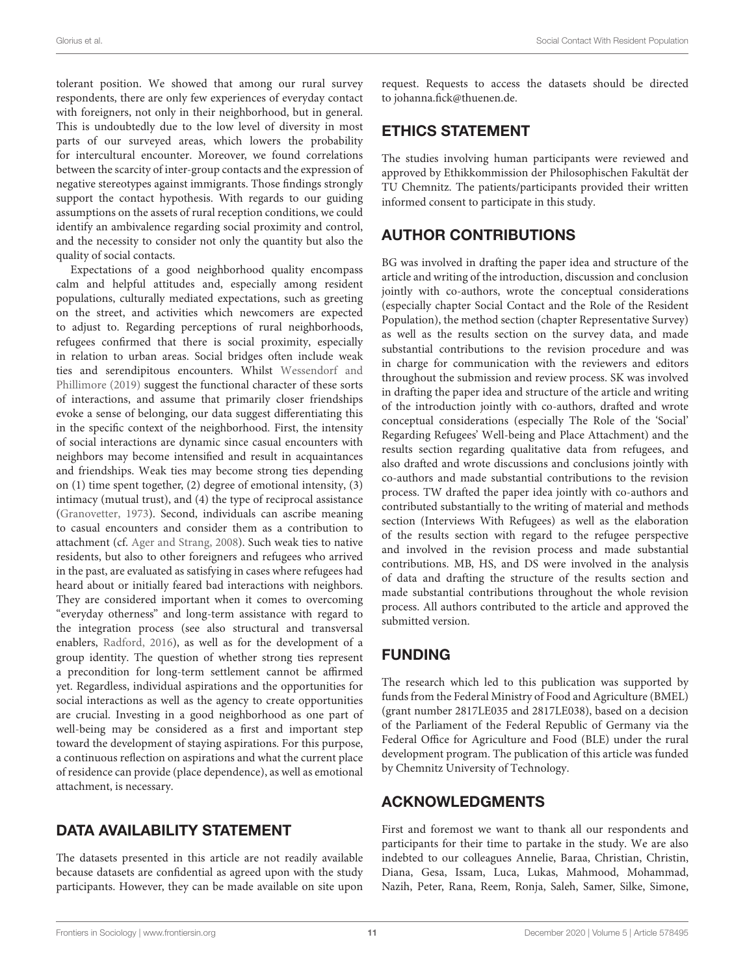tolerant position. We showed that among our rural survey respondents, there are only few experiences of everyday contact with foreigners, not only in their neighborhood, but in general. This is undoubtedly due to the low level of diversity in most parts of our surveyed areas, which lowers the probability for intercultural encounter. Moreover, we found correlations between the scarcity of inter-group contacts and the expression of negative stereotypes against immigrants. Those findings strongly support the contact hypothesis. With regards to our guiding assumptions on the assets of rural reception conditions, we could identify an ambivalence regarding social proximity and control, and the necessity to consider not only the quantity but also the quality of social contacts.

Expectations of a good neighborhood quality encompass calm and helpful attitudes and, especially among resident populations, culturally mediated expectations, such as greeting on the street, and activities which newcomers are expected to adjust to. Regarding perceptions of rural neighborhoods, refugees confirmed that there is social proximity, especially in relation to urban areas. Social bridges often include weak ties and serendipitous encounters. Whilst Wessendorf and Phillimore [\(2019\)](#page-12-31) suggest the functional character of these sorts of interactions, and assume that primarily closer friendships evoke a sense of belonging, our data suggest differentiating this in the specific context of the neighborhood. First, the intensity of social interactions are dynamic since casual encounters with neighbors may become intensified and result in acquaintances and friendships. Weak ties may become strong ties depending on (1) time spent together, (2) degree of emotional intensity, (3) intimacy (mutual trust), and (4) the type of reciprocal assistance [\(Granovetter, 1973\)](#page-11-12). Second, individuals can ascribe meaning to casual encounters and consider them as a contribution to attachment (cf. [Ager and Strang, 2008\)](#page-11-11). Such weak ties to native residents, but also to other foreigners and refugees who arrived in the past, are evaluated as satisfying in cases where refugees had heard about or initially feared bad interactions with neighbors. They are considered important when it comes to overcoming "everyday otherness" and long-term assistance with regard to the integration process (see also structural and transversal enablers, [Radford, 2016\)](#page-12-33), as well as for the development of a group identity. The question of whether strong ties represent a precondition for long-term settlement cannot be affirmed yet. Regardless, individual aspirations and the opportunities for social interactions as well as the agency to create opportunities are crucial. Investing in a good neighborhood as one part of well-being may be considered as a first and important step toward the development of staying aspirations. For this purpose, a continuous reflection on aspirations and what the current place of residence can provide (place dependence), as well as emotional attachment, is necessary.

# DATA AVAILABILITY STATEMENT

The datasets presented in this article are not readily available because datasets are confidential as agreed upon with the study participants. However, they can be made available on site upon request. Requests to access the datasets should be directed to [johanna.fick@thuenen.de.](mailto:johanna.fick@thuenen.de)

# ETHICS STATEMENT

The studies involving human participants were reviewed and approved by Ethikkommission der Philosophischen Fakultät der TU Chemnitz. The patients/participants provided their written informed consent to participate in this study.

# AUTHOR CONTRIBUTIONS

BG was involved in drafting the paper idea and structure of the article and writing of the introduction, discussion and conclusion jointly with co-authors, wrote the conceptual considerations (especially chapter Social Contact and the Role of the Resident Population), the method section (chapter Representative Survey) as well as the results section on the survey data, and made substantial contributions to the revision procedure and was in charge for communication with the reviewers and editors throughout the submission and review process. SK was involved in drafting the paper idea and structure of the article and writing of the introduction jointly with co-authors, drafted and wrote conceptual considerations (especially The Role of the 'Social' Regarding Refugees' Well-being and Place Attachment) and the results section regarding qualitative data from refugees, and also drafted and wrote discussions and conclusions jointly with co-authors and made substantial contributions to the revision process. TW drafted the paper idea jointly with co-authors and contributed substantially to the writing of material and methods section (Interviews With Refugees) as well as the elaboration of the results section with regard to the refugee perspective and involved in the revision process and made substantial contributions. MB, HS, and DS were involved in the analysis of data and drafting the structure of the results section and made substantial contributions throughout the whole revision process. All authors contributed to the article and approved the submitted version.

# FUNDING

The research which led to this publication was supported by funds from the Federal Ministry of Food and Agriculture (BMEL) (grant number 2817LE035 and 2817LE038), based on a decision of the Parliament of the Federal Republic of Germany via the Federal Office for Agriculture and Food (BLE) under the rural development program. The publication of this article was funded by Chemnitz University of Technology.

# ACKNOWLEDGMENTS

First and foremost we want to thank all our respondents and participants for their time to partake in the study. We are also indebted to our colleagues Annelie, Baraa, Christian, Christin, Diana, Gesa, Issam, Luca, Lukas, Mahmood, Mohammad, Nazih, Peter, Rana, Reem, Ronja, Saleh, Samer, Silke, Simone,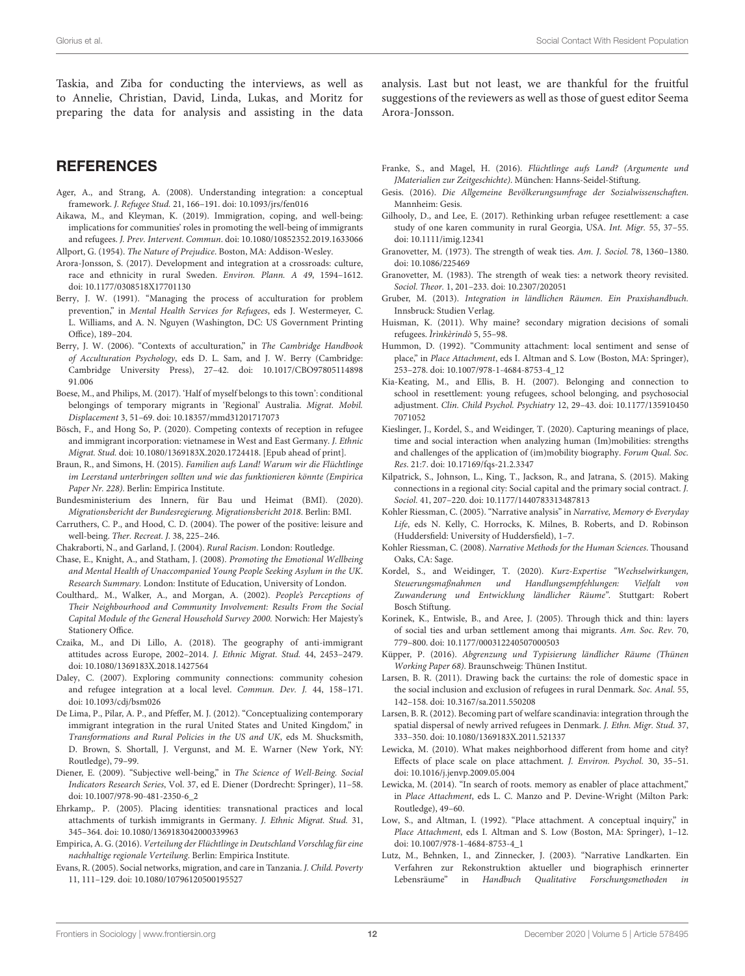Taskia, and Ziba for conducting the interviews, as well as to Annelie, Christian, David, Linda, Lukas, and Moritz for preparing the data for analysis and assisting in the data analysis. Last but not least, we are thankful for the fruitful suggestions of the reviewers as well as those of guest editor Seema Arora-Jonsson.

## **REFERENCES**

- <span id="page-11-11"></span>Ager, A., and Strang, A. (2008). Understanding integration: a conceptual framework. J. Refugee Stud. 21, 166–191. doi: [10.1093/jrs/fen016](https://doi.org/10.1093/jrs/fen016)
- <span id="page-11-9"></span>Aikawa, M., and Kleyman, K. (2019). Immigration, coping, and well-being: implications for communities' roles in promoting the well-being of immigrants and refugees. J. Prev. Intervent. Commun. doi: [10.1080/10852352.2019.1633066](https://doi.org/10.1080/10852352.2019.1633066) Allport, G. (1954). The Nature of Prejudice. Boston, MA: Addison-Wesley.
- <span id="page-11-17"></span><span id="page-11-16"></span>Arora-Jonsson, S. (2017). Development and integration at a crossroads: culture, race and ethnicity in rural Sweden. Environ. Plann. A 49, 1594–1612.
- <span id="page-11-10"></span>doi: [10.1177/0308518X17701130](https://doi.org/10.1177/0308518X17701130) Berry, J. W. (1991). "Managing the process of acculturation for problem prevention," in Mental Health Services for Refugees, eds J. Westermeyer, C. L. Williams, and A. N. Nguyen (Washington, DC: US Government Printing Office), 189–204.
- <span id="page-11-32"></span>Berry, J. W. (2006). "Contexts of acculturation," in The Cambridge Handbook of Acculturation Psychology, eds D. L. Sam, and J. W. Berry (Cambridge: [Cambridge University Press\), 27–42. doi: 10.1017/CBO97805114898](https://doi.org/10.1017/CBO9780511489891.006) 91.006
- <span id="page-11-27"></span>Boese, M., and Philips, M. (2017). 'Half of myself belongs to this town': conditional belongings of temporary migrants in 'Regional' Australia. Migrat. Mobil. Displacement 3, 51–69. doi: [10.18357/mmd31201717073](https://doi.org/10.18357/mmd31201717073)
- <span id="page-11-37"></span>Bösch, F., and Hong So, P. (2020). Competing contexts of reception in refugee and immigrant incorporation: vietnamese in West and East Germany. J. Ethnic Migrat. Stud. doi: [10.1080/1369183X.2020.1724418.](https://doi.org/10.1080/1369183X.2020.1724418) [Epub ahead of print].
- <span id="page-11-2"></span>Braun, R., and Simons, H. (2015). Familien aufs Land! Warum wir die Flüchtlinge im Leerstand unterbringen sollten und wie das funktionieren könnte (Empirica Paper Nr. 228). Berlin: Empirica Institute.
- <span id="page-11-0"></span>Bundesministerium des Innern, für Bau und Heimat (BMI). (2020). Migrationsbericht der Bundesregierung. Migrationsbericht 2018. Berlin: BMI.
- <span id="page-11-6"></span>Carruthers, C. P., and Hood, C. D. (2004). The power of the positive: leisure and well-being. Ther. Recreat. J. 38, 225–246.
- <span id="page-11-19"></span>Chakraborti, N., and Garland, J. (2004). Rural Racism. London: Routledge.
- <span id="page-11-22"></span>Chase, E., Knight, A., and Statham, J. (2008). Promoting the Emotional Wellbeing and Mental Health of Unaccompanied Young People Seeking Asylum in the UK. Research Summary. London: Institute of Education, University of London.
- <span id="page-11-7"></span>Coulthard,. M., Walker, A., and Morgan, A. (2002). People's Perceptions of Their Neighbourhood and Community Involvement: Results From the Social Capital Module of the General Household Survey 2000. Norwich: Her Majesty's Stationery Office.
- <span id="page-11-18"></span>Czaika, M., and Di Lillo, A. (2018). The geography of anti-immigrant attitudes across Europe, 2002–2014. J. Ethnic Migrat. Stud. 44, 2453–2479. doi: [10.1080/1369183X.2018.1427564](https://doi.org/10.1080/1369183X.2018.1427564)
- <span id="page-11-42"></span>Daley, C. (2007). Exploring community connections: community cohesion and refugee integration at a local level. Commun. Dev. J. 44, 158–171. doi: [10.1093/cdj/bsm026](https://doi.org/10.1093/cdj/bsm026)
- <span id="page-11-14"></span>De Lima, P., Pilar, A. P., and Pfeffer, M. J. (2012). "Conceptualizing contemporary immigrant integration in the rural United States and United Kingdom," in Transformations and Rural Policies in the US and UK, eds M. Shucksmith, D. Brown, S. Shortall, J. Vergunst, and M. E. Warner (New York, NY: Routledge), 79–99.
- <span id="page-11-8"></span>Diener, E. (2009). "Subjective well-being," in The Science of Well-Being. Social Indicators Research Series, Vol. 37, ed E. Diener (Dordrecht: Springer), 11–58. doi: [10.1007/978-90-481-2350-6\\_2](https://doi.org/10.1007/978-90-481-2350-6_2)
- <span id="page-11-25"></span>Ehrkamp,. P. (2005). Placing identities: transnational practices and local attachments of turkish immigrants in Germany. J. Ethnic Migrat. Stud. 31, 345–364. doi: [10.1080/1369183042000339963](https://doi.org/10.1080/1369183042000339963)
- <span id="page-11-3"></span>Empirica, A. G. (2016). Verteilung der Flüchtlinge in Deutschland Vorschlag für eine nachhaltige regionale Verteilung. Berlin: Empirica Institute.
- <span id="page-11-20"></span>Evans, R. (2005). Social networks, migration, and care in Tanzania. J. Child. Poverty 11, 111–129. doi: [10.1080/10796120500195527](https://doi.org/10.1080/10796120500195527)
- <span id="page-11-4"></span>Franke, S., and Magel, H. (2016). Flüchtlinge aufs Land? (Argumente und JMaterialien zur Zeitgeschichte). München: Hanns-Seidel-Stiftung.
- <span id="page-11-39"></span>Gesis. (2016). Die Allgemeine Bevölkerungsumfrage der Sozialwissenschaften. Mannheim: Gesis.
- <span id="page-11-30"></span>Gilhooly, D., and Lee, E. (2017). Rethinking urban refugee resettlement: a case study of one karen community in rural Georgia, USA. Int. Migr. 55, 37–55. doi: [10.1111/imig.12341](https://doi.org/10.1111/imig.12341)
- <span id="page-11-12"></span>Granovetter, M. (1973). The strength of weak ties. Am. J. Sociol. 78, 1360–1380. doi: [10.1086/225469](https://doi.org/10.1086/225469)
- <span id="page-11-13"></span>Granovetter, M. (1983). The strength of weak ties: a network theory revisited. Sociol. Theor. 1, 201–233. doi: [10.2307/202051](https://doi.org/10.2307/202051)
- <span id="page-11-15"></span>Gruber, M. (2013). Integration in ländlichen Räumen. Ein Praxishandbuch. Innsbruck: Studien Verlag.
- <span id="page-11-31"></span>Huisman, K. (2011). Why maine? secondary migration decisions of somali refugees. Ìrìnkèrindò 5, 55–98.
- <span id="page-11-28"></span>Hummon, D. (1992). "Community attachment: local sentiment and sense of place," in Place Attachment, eds I. Altman and S. Low (Boston, MA: Springer), 253–278. doi: [10.1007/978-1-4684-8753-4\\_12](https://doi.org/10.1007/978-1-4684-8753-4_12)
- <span id="page-11-21"></span>Kia-Keating, M., and Ellis, B. H. (2007). Belonging and connection to school in resettlement: young refugees, school belonging, and psychosocial adjustment. Clin. Child Psychol. Psychiatry [12, 29–43. doi: 10.1177/135910450](https://doi.org/10.1177/1359104507071052) 7071052
- <span id="page-11-33"></span>Kieslinger, J., Kordel, S., and Weidinger, T. (2020). Capturing meanings of place, time and social interaction when analyzing human (Im)mobilities: strengths and challenges of the application of (im)mobility biography. Forum Qual. Soc. Res. 21:7. doi: [10.17169/fqs-21.2.3347](https://doi.org/10.17169/fqs-21.2.3347)
- <span id="page-11-41"></span>Kilpatrick, S., Johnson, L., King, T., Jackson, R., and Jatrana, S. (2015). Making connections in a regional city: Social capital and the primary social contract. J. Sociol. 41, 207–220. doi: [10.1177/1440783313487813](https://doi.org/10.1177/1440783313487813)
- <span id="page-11-35"></span>Kohler Riessman, C. (2005). "Narrative analysis" in Narrative, Memory & Everyday Life, eds N. Kelly, C. Horrocks, K. Milnes, B. Roberts, and D. Robinson (Huddersfield: University of Huddersfield), 1–7.
- <span id="page-11-36"></span>Kohler Riessman, C. (2008). Narrative Methods for the Human Sciences. Thousand Oaks, CA: Sage.
- <span id="page-11-5"></span>Kordel, S., and Weidinger, T. (2020). Kurz-Expertise "Wechselwirkungen, Steuerungsmaßnahmen und Handlungsempfehlungen: Vielfalt von Zuwanderung und Entwicklung ländlicher Räume". Stuttgart: Robert Bosch Stiftung.
- <span id="page-11-23"></span>Korinek, K., Entwisle, B., and Aree, J. (2005). Through thick and thin: layers of social ties and urban settlement among thai migrants. Am. Soc. Rev. 70, 779–800. doi: [10.1177/000312240507000503](https://doi.org/10.1177/000312240507000503)
- <span id="page-11-1"></span>Küpper, P. (2016). Abgrenzung und Typisierung ländlicher Räume (Thünen Working Paper 68). Braunschweig: Thünen Institut.
- <span id="page-11-38"></span>Larsen, B. R. (2011). Drawing back the curtains: the role of domestic space in the social inclusion and exclusion of refugees in rural Denmark. Soc. Anal. 55, 142–158. doi: [10.3167/sa.2011.550208](https://doi.org/10.3167/sa.2011.550208)
- <span id="page-11-40"></span>Larsen, B. R. (2012). Becoming part of welfare scandinavia: integration through the spatial dispersal of newly arrived refugees in Denmark. J. Ethn. Migr. Stud. 37, 333–350. doi: [10.1080/1369183X.2011.521337](https://doi.org/10.1080/1369183X.2011.521337)
- <span id="page-11-24"></span>Lewicka, M. (2010). What makes neighborhood different from home and city? Effects of place scale on place attachment. J. Environ. Psychol. 30, 35–51. doi: [10.1016/j.jenvp.2009.05.004](https://doi.org/10.1016/j.jenvp.2009.05.004)
- <span id="page-11-26"></span>Lewicka, M. (2014). "In search of roots. memory as enabler of place attachment," in Place Attachment, eds L. C. Manzo and P. Devine-Wright (Milton Park: Routledge), 49–60.
- <span id="page-11-29"></span>Low, S., and Altman, I. (1992). "Place attachment. A conceptual inquiry," in Place Attachment, eds I. Altman and S. Low (Boston, MA: Springer), 1–12. doi: [10.1007/978-1-4684-8753-4\\_1](https://doi.org/10.1007/978-1-4684-8753-4_1)
- <span id="page-11-34"></span>Lutz, M., Behnken, I., and Zinnecker, J. (2003). "Narrative Landkarten. Ein Verfahren zur Rekonstruktion aktueller und biographisch erinnerter Lebensräume" in Handbuch Qualitative Forschungsmethoden in